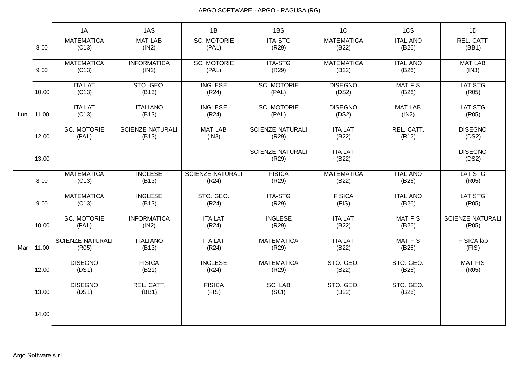|     |       | 1A                               | 1AS                              | 1B                               | 1BS                              | 1C                         | 1CS                      | 1D                               |
|-----|-------|----------------------------------|----------------------------------|----------------------------------|----------------------------------|----------------------------|--------------------------|----------------------------------|
|     | 8.00  | <b>MATEMATICA</b><br>(C13)       | <b>MAT LAB</b><br>(1N2)          | <b>SC. MOTORIE</b><br>(PAL)      | <b>ITA-STG</b><br>(R29)          | <b>MATEMATICA</b><br>(B22) | <b>ITALIANO</b><br>(B26) | REL. CATT.<br>(BB1)              |
|     | 9.00  | <b>MATEMATICA</b><br>(C13)       | <b>INFORMATICA</b><br>(1N2)      | <b>SC. MOTORIE</b><br>(PAL)      | <b>ITA-STG</b><br>(R29)          | <b>MATEMATICA</b><br>(B22) | <b>ITALIANO</b><br>(B26) | <b>MAT LAB</b><br>(IN3)          |
|     | 10.00 | <b>ITA LAT</b><br>(C13)          | STO. GEO.<br>(B13)               | <b>INGLESE</b><br>(R24)          | <b>SC. MOTORIE</b><br>(PAL)      | <b>DISEGNO</b><br>(DS2)    | <b>MAT FIS</b><br>(B26)  | <b>LAT STG</b><br>(R05)          |
| Lun | 11.00 | <b>ITA LAT</b><br>(C13)          | <b>ITALIANO</b><br>(B13)         | <b>INGLESE</b><br>(R24)          | <b>SC. MOTORIE</b><br>(PAL)      | <b>DISEGNO</b><br>(DS2)    | <b>MAT LAB</b><br>(1N2)  | <b>LAT STG</b><br>(R05)          |
|     | 12.00 | <b>SC. MOTORIE</b><br>(PAL)      | <b>SCIENZE NATURALI</b><br>(B13) | <b>MAT LAB</b><br>(IN3)          | <b>SCIENZE NATURALI</b><br>(R29) | <b>ITA LAT</b><br>(B22)    | REL. CATT.<br>(R12)      | <b>DISEGNO</b><br>(DS2)          |
|     | 13.00 |                                  |                                  |                                  | <b>SCIENZE NATURALI</b><br>(R29) | <b>ITA LAT</b><br>(B22)    |                          | <b>DISEGNO</b><br>(DS2)          |
|     | 8.00  | <b>MATEMATICA</b><br>(C13)       | <b>INGLESE</b><br>(B13)          | <b>SCIENZE NATURALI</b><br>(R24) | <b>FISICA</b><br>(R29)           | <b>MATEMATICA</b><br>(B22) | <b>ITALIANO</b><br>(B26) | LAT STG<br>(R05)                 |
|     | 9.00  | <b>MATEMATICA</b><br>(C13)       | <b>INGLESE</b><br>(B13)          | STO. GEO.<br>(R24)               | <b>ITA-STG</b><br>(R29)          | <b>FISICA</b><br>(FIS)     | <b>ITALIANO</b><br>(B26) | <b>LAT STG</b><br>(R05)          |
|     | 10.00 | <b>SC. MOTORIE</b><br>(PAL)      | <b>INFORMATICA</b><br>(1N2)      | <b>ITA LAT</b><br>(R24)          | <b>INGLESE</b><br>(R29)          | <b>ITA LAT</b><br>(B22)    | <b>MAT FIS</b><br>(B26)  | <b>SCIENZE NATURALI</b><br>(R05) |
| Mar | 11.00 | <b>SCIENZE NATURALI</b><br>(R05) | <b>ITALIANO</b><br>(B13)         | <b>ITA LAT</b><br>(R24)          | <b>MATEMATICA</b><br>(R29)       | <b>ITA LAT</b><br>(B22)    | <b>MAT FIS</b><br>(B26)  | FISICA lab<br>(FIS)              |
|     | 12.00 | <b>DISEGNO</b><br>(DS1)          | <b>FISICA</b><br>(B21)           | <b>INGLESE</b><br>(R24)          | <b>MATEMATICA</b><br>(R29)       | STO. GEO.<br>(B22)         | STO. GEO.<br>(B26)       | <b>MAT FIS</b><br>(R05)          |
|     | 13.00 | <b>DISEGNO</b><br>(DS1)          | REL. CATT.<br>(BB1)              | <b>FISICA</b><br>(FIS)           | <b>SCI LAB</b><br>(SCI)          | STO. GEO.<br>(B22)         | STO. GEO.<br>(B26)       |                                  |
|     | 14.00 |                                  |                                  |                                  |                                  |                            |                          |                                  |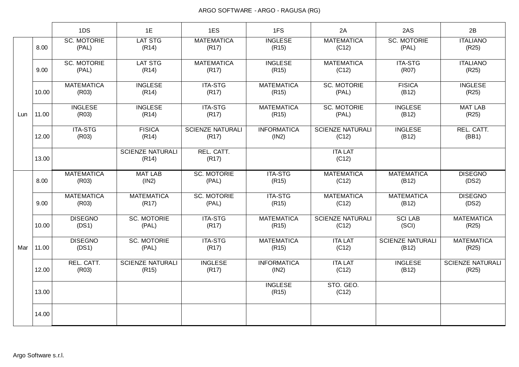|     |       | 1DS                         | 1E                               | 1ES                              | 1FS                         | 2A                               | 2AS                              | 2B                               |
|-----|-------|-----------------------------|----------------------------------|----------------------------------|-----------------------------|----------------------------------|----------------------------------|----------------------------------|
|     | 8.00  | <b>SC. MOTORIE</b><br>(PAL) | <b>LAT STG</b><br>(R14)          | <b>MATEMATICA</b><br>(R17)       | <b>INGLESE</b><br>(R15)     | <b>MATEMATICA</b><br>(C12)       | <b>SC. MOTORIE</b><br>(PAL)      | <b>ITALIANO</b><br>(R25)         |
|     | 9.00  | <b>SC. MOTORIE</b><br>(PAL) | <b>LAT STG</b><br>(R14)          | <b>MATEMATICA</b><br>(R17)       | <b>INGLESE</b><br>(R15)     | <b>MATEMATICA</b><br>(C12)       | <b>ITA-STG</b><br>(R07)          | <b>ITALIANO</b><br>(R25)         |
|     | 10.00 | <b>MATEMATICA</b><br>(R03)  | <b>INGLESE</b><br>(R14)          | <b>ITA-STG</b><br>(R17)          | <b>MATEMATICA</b><br>(R15)  | <b>SC. MOTORIE</b><br>(PAL)      | <b>FISICA</b><br>(B12)           | <b>INGLESE</b><br>(R25)          |
| Lun | 11.00 | <b>INGLESE</b><br>(R03)     | <b>INGLESE</b><br>(R14)          | <b>ITA-STG</b><br>(R17)          | <b>MATEMATICA</b><br>(R15)  | <b>SC. MOTORIE</b><br>(PAL)      | <b>INGLESE</b><br>(B12)          | <b>MAT LAB</b><br>(R25)          |
|     | 12.00 | <b>ITA-STG</b><br>(R03)     | <b>FISICA</b><br>(R14)           | <b>SCIENZE NATURALI</b><br>(R17) | <b>INFORMATICA</b><br>(1N2) | <b>SCIENZE NATURALI</b><br>(C12) | <b>INGLESE</b><br>(B12)          | REL. CATT.<br>(BB1)              |
|     | 13.00 |                             | <b>SCIENZE NATURALI</b><br>(R14) | REL. CATT.<br>(R17)              |                             | <b>ITA LAT</b><br>(C12)          |                                  |                                  |
|     | 8.00  | <b>MATEMATICA</b><br>(R03)  | <b>MAT LAB</b><br>(1N2)          | <b>SC. MOTORIE</b><br>(PAL)      | <b>ITA-STG</b><br>(R15)     | <b>MATEMATICA</b><br>(C12)       | <b>MATEMATICA</b><br>(B12)       | <b>DISEGNO</b><br>(DS2)          |
|     | 9.00  | <b>MATEMATICA</b><br>(R03)  | <b>MATEMATICA</b><br>(R17)       | <b>SC. MOTORIE</b><br>(PAL)      | <b>ITA-STG</b><br>(R15)     | <b>MATEMATICA</b><br>(C12)       | <b>MATEMATICA</b><br>(B12)       | <b>DISEGNO</b><br>(DS2)          |
|     | 10.00 | <b>DISEGNO</b><br>(DS1)     | <b>SC. MOTORIE</b><br>(PAL)      | <b>ITA-STG</b><br>(R17)          | <b>MATEMATICA</b><br>(R15)  | <b>SCIENZE NATURALI</b><br>(C12) | <b>SCI LAB</b><br>(SCI)          | <b>MATEMATICA</b><br>(R25)       |
| Mar | 11.00 | <b>DISEGNO</b><br>(DS1)     | <b>SC. MOTORIE</b><br>(PAL)      | <b>ITA-STG</b><br>(R17)          | <b>MATEMATICA</b><br>(R15)  | <b>ITA LAT</b><br>(C12)          | <b>SCIENZE NATURALI</b><br>(B12) | <b>MATEMATICA</b><br>(R25)       |
|     | 12.00 | REL. CATT.<br>(R03)         | <b>SCIENZE NATURALI</b><br>(R15) | <b>INGLESE</b><br>(R17)          | <b>INFORMATICA</b><br>(IN2) | <b>ITA LAT</b><br>(C12)          | <b>INGLESE</b><br>(B12)          | <b>SCIENZE NATURALI</b><br>(R25) |
|     | 13.00 |                             |                                  |                                  | <b>INGLESE</b><br>(R15)     | STO. GEO.<br>(C12)               |                                  |                                  |
|     | 14.00 |                             |                                  |                                  |                             |                                  |                                  |                                  |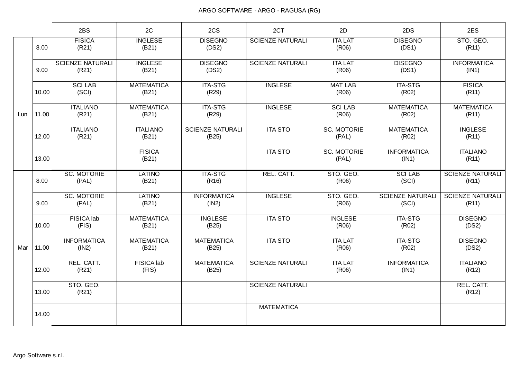|     |       | 2BS                              | 2C                         | 2CS                              | 2CT                     | 2D                          | 2DS                              | 2ES                              |
|-----|-------|----------------------------------|----------------------------|----------------------------------|-------------------------|-----------------------------|----------------------------------|----------------------------------|
|     | 8.00  | <b>FISICA</b><br>(R21)           | <b>INGLESE</b><br>(B21)    | <b>DISEGNO</b><br>(DS2)          | <b>SCIENZE NATURALI</b> | <b>ITA LAT</b><br>(R06)     | <b>DISEGNO</b><br>(DS1)          | STO. GEO.<br>(R11)               |
|     | 9.00  | <b>SCIENZE NATURALI</b><br>(R21) | <b>INGLESE</b><br>(B21)    | <b>DISEGNO</b><br>(DS2)          | <b>SCIENZE NATURALI</b> | <b>ITA LAT</b><br>(R06)     | <b>DISEGNO</b><br>(DS1)          | <b>INFORMATICA</b><br>(IN1)      |
|     | 10.00 | <b>SCI LAB</b><br>(SCI)          | <b>MATEMATICA</b><br>(B21) | <b>ITA-STG</b><br>(R29)          | <b>INGLESE</b>          | <b>MAT LAB</b><br>(R06)     | <b>ITA-STG</b><br>(R02)          | <b>FISICA</b><br>(R11)           |
| Lun | 11.00 | <b>ITALIANO</b><br>(R21)         | <b>MATEMATICA</b><br>(B21) | <b>ITA-STG</b><br>(R29)          | <b>INGLESE</b>          | <b>SCI LAB</b><br>(R06)     | <b>MATEMATICA</b><br>(R02)       | <b>MATEMATICA</b><br>(R11)       |
|     | 12.00 | <b>ITALIANO</b><br>(R21)         | <b>ITALIANO</b><br>(B21)   | <b>SCIENZE NATURALI</b><br>(B25) | <b>ITA STO</b>          | <b>SC. MOTORIE</b><br>(PAL) | <b>MATEMATICA</b><br>(R02)       | <b>INGLESE</b><br>(R11)          |
|     | 13.00 |                                  | <b>FISICA</b><br>(B21)     |                                  | <b>ITA STO</b>          | <b>SC. MOTORIE</b><br>(PAL) | <b>INFORMATICA</b><br>(IN1)      | <b>ITALIANO</b><br>(R11)         |
|     | 8.00  | <b>SC. MOTORIE</b><br>(PAL)      | <b>LATINO</b><br>(B21)     | <b>ITA-STG</b><br>(R16)          | REL. CATT.              | STO. GEO.<br>(R06)          | <b>SCI LAB</b><br>(SCI)          | <b>SCIENZE NATURALI</b><br>(R11) |
|     | 9.00  | <b>SC. MOTORIE</b><br>(PAL)      | <b>LATINO</b><br>(B21)     | <b>INFORMATICA</b><br>(1N2)      | <b>INGLESE</b>          | STO. GEO.<br>(R06)          | <b>SCIENZE NATURALI</b><br>(SCI) | <b>SCIENZE NATURALI</b><br>(R11) |
|     | 10.00 | <b>FISICA</b> lab<br>(FIS)       | <b>MATEMATICA</b><br>(B21) | <b>INGLESE</b><br>(B25)          | <b>ITA STO</b>          | <b>INGLESE</b><br>(R06)     | <b>ITA-STG</b><br>(R02)          | <b>DISEGNO</b><br>(DS2)          |
| Mar | 11.00 | <b>INFORMATICA</b><br>(1N2)      | <b>MATEMATICA</b><br>(B21) | <b>MATEMATICA</b><br>(B25)       | <b>ITA STO</b>          | <b>ITA LAT</b><br>(R06)     | <b>ITA-STG</b><br>(R02)          | <b>DISEGNO</b><br>(DS2)          |
|     | 12.00 | REL. CATT.<br>(R21)              | FISICA lab<br>(FIS)        | <b>MATEMATICA</b><br>(B25)       | <b>SCIENZE NATURALI</b> | <b>ITA LAT</b><br>(R06)     | <b>INFORMATICA</b><br>(IN1)      | <b>ITALIANO</b><br>(R12)         |
|     | 13.00 | STO. GEO.<br>(R21)               |                            |                                  | <b>SCIENZE NATURALI</b> |                             |                                  | REL. CATT.<br>(R12)              |
|     | 14.00 |                                  |                            |                                  | <b>MATEMATICA</b>       |                             |                                  |                                  |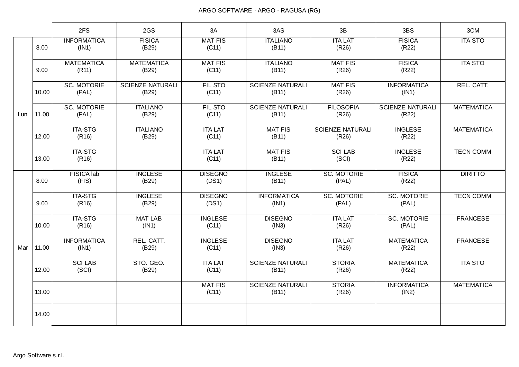|     |       | 2FS                         | 2GS                              | 3A                      | 3AS                              | 3B                               | 3BS                              | 3CM               |
|-----|-------|-----------------------------|----------------------------------|-------------------------|----------------------------------|----------------------------------|----------------------------------|-------------------|
|     | 8.00  | <b>INFORMATICA</b><br>(IN1) | <b>FISICA</b><br>(B29)           | <b>MAT FIS</b><br>(C11) | <b>ITALIANO</b><br>(B11)         | <b>ITA LAT</b><br>(R26)          | <b>FISICA</b><br>(R22)           | <b>ITA STO</b>    |
|     | 9.00  | <b>MATEMATICA</b><br>(R11)  | <b>MATEMATICA</b><br>(B29)       | <b>MAT FIS</b><br>(C11) | <b>ITALIANO</b><br>(B11)         | <b>MAT FIS</b><br>(R26)          | <b>FISICA</b><br>(R22)           | <b>ITA STO</b>    |
|     | 10.00 | <b>SC. MOTORIE</b><br>(PAL) | <b>SCIENZE NATURALI</b><br>(B29) | FIL STO<br>(C11)        | <b>SCIENZE NATURALI</b><br>(B11) | <b>MAT FIS</b><br>(R26)          | <b>INFORMATICA</b><br>(IN1)      | REL. CATT.        |
| Lun | 11.00 | <b>SC. MOTORIE</b><br>(PAL) | <b>ITALIANO</b><br>(B29)         | <b>FIL STO</b><br>(C11) | <b>SCIENZE NATURALI</b><br>(B11) | <b>FILOSOFIA</b><br>(R26)        | <b>SCIENZE NATURALI</b><br>(R22) | <b>MATEMATICA</b> |
|     | 12.00 | <b>ITA-STG</b><br>(R16)     | <b>ITALIANO</b><br>(B29)         | <b>ITA LAT</b><br>(C11) | <b>MAT FIS</b><br>(B11)          | <b>SCIENZE NATURALI</b><br>(R26) | <b>INGLESE</b><br>(R22)          | <b>MATEMATICA</b> |
|     | 13.00 | <b>ITA-STG</b><br>(R16)     |                                  | <b>ITA LAT</b><br>(C11) | <b>MAT FIS</b><br>(B11)          | <b>SCI LAB</b><br>(SCI)          | <b>INGLESE</b><br>(R22)          | <b>TECN COMM</b>  |
|     | 8.00  | <b>FISICA</b> lab<br>(FIS)  | <b>INGLESE</b><br>(B29)          | <b>DISEGNO</b><br>(DS1) | <b>INGLESE</b><br>(B11)          | <b>SC. MOTORIE</b><br>(PAL)      | <b>FISICA</b><br>(R22)           | <b>DIRITTO</b>    |
|     | 9.00  | <b>ITA-STG</b><br>(R16)     | <b>INGLESE</b><br>(B29)          | <b>DISEGNO</b><br>(DS1) | <b>INFORMATICA</b><br>(IN1)      | <b>SC. MOTORIE</b><br>(PAL)      | <b>SC. MOTORIE</b><br>(PAL)      | <b>TECN COMM</b>  |
|     | 10.00 | <b>ITA-STG</b><br>(R16)     | <b>MAT LAB</b><br>(IN1)          | <b>INGLESE</b><br>(C11) | <b>DISEGNO</b><br>(IN3)          | <b>ITA LAT</b><br>(R26)          | <b>SC. MOTORIE</b><br>(PAL)      | <b>FRANCESE</b>   |
| Mar | 11.00 | <b>INFORMATICA</b><br>(IN1) | REL. CATT.<br>(B29)              | <b>INGLESE</b><br>(C11) | <b>DISEGNO</b><br>(IN3)          | <b>ITA LAT</b><br>(R26)          | <b>MATEMATICA</b><br>(R22)       | <b>FRANCESE</b>   |
|     | 12.00 | <b>SCI LAB</b><br>(SCI)     | STO. GEO.<br>(B29)               | <b>ITA LAT</b><br>(C11) | <b>SCIENZE NATURALI</b><br>(B11) | <b>STORIA</b><br>(R26)           | <b>MATEMATICA</b><br>(R22)       | <b>ITA STO</b>    |
|     | 13.00 |                             |                                  | <b>MAT FIS</b><br>(C11) | <b>SCIENZE NATURALI</b><br>(B11) | <b>STORIA</b><br>(R26)           | <b>INFORMATICA</b><br>(1N2)      | <b>MATEMATICA</b> |
|     | 14.00 |                             |                                  |                         |                                  |                                  |                                  |                   |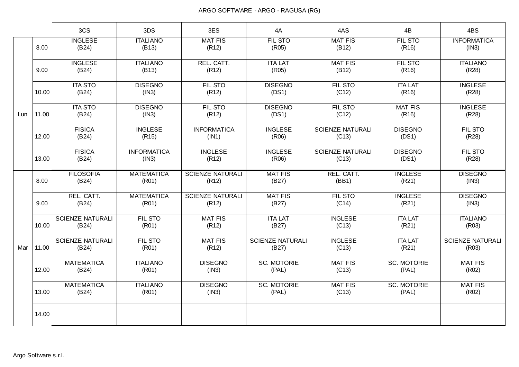|     |       | 3CS                              | 3DS                         | 3ES                              | 4A                               | 4AS                              | 4B                          | 4BS                              |
|-----|-------|----------------------------------|-----------------------------|----------------------------------|----------------------------------|----------------------------------|-----------------------------|----------------------------------|
|     | 8.00  | <b>INGLESE</b><br>(B24)          | <b>ITALIANO</b><br>(B13)    | <b>MAT FIS</b><br>(R12)          | <b>FIL STO</b><br>(R05)          | <b>MAT FIS</b><br>(B12)          | <b>FIL STO</b><br>(R16)     | <b>INFORMATICA</b><br>(IN3)      |
|     | 9.00  | <b>INGLESE</b><br>(B24)          | <b>ITALIANO</b><br>(B13)    | REL. CATT.<br>(R12)              | <b>ITA LAT</b><br>(R05)          | <b>MAT FIS</b><br>(B12)          | FIL STO<br>(R16)            | <b>ITALIANO</b><br>(R28)         |
|     | 10.00 | <b>ITA STO</b><br>(B24)          | <b>DISEGNO</b><br>(IN3)     | FIL STO<br>(R12)                 | <b>DISEGNO</b><br>(DS1)          | FIL STO<br>(C12)                 | <b>ITA LAT</b><br>(R16)     | <b>INGLESE</b><br>(R28)          |
| Lun | 11.00 | <b>ITA STO</b><br>(B24)          | <b>DISEGNO</b><br>(IN3)     | <b>FIL STO</b><br>(R12)          | <b>DISEGNO</b><br>(DS1)          | FIL STO<br>(C12)                 | <b>MAT FIS</b><br>(R16)     | <b>INGLESE</b><br>(R28)          |
|     | 12.00 | <b>FISICA</b><br>(B24)           | <b>INGLESE</b><br>(R15)     | <b>INFORMATICA</b><br>(IN1)      | <b>INGLESE</b><br>(R06)          | <b>SCIENZE NATURALI</b><br>(C13) | <b>DISEGNO</b><br>(DS1)     | <b>FIL STO</b><br>(R28)          |
|     | 13.00 | <b>FISICA</b><br>(B24)           | <b>INFORMATICA</b><br>(IN3) | <b>INGLESE</b><br>(R12)          | <b>INGLESE</b><br>(R06)          | <b>SCIENZE NATURALI</b><br>(C13) | <b>DISEGNO</b><br>(DS1)     | FIL STO<br>(R28)                 |
|     | 8.00  | <b>FILOSOFIA</b><br>(B24)        | <b>MATEMATICA</b><br>(R01)  | <b>SCIENZE NATURALI</b><br>(R12) | <b>MAT FIS</b><br>(B27)          | REL. CATT.<br>(BB1)              | <b>INGLESE</b><br>(R21)     | <b>DISEGNO</b><br>(IN3)          |
|     | 9.00  | REL. CATT.<br>(B24)              | <b>MATEMATICA</b><br>(R01)  | <b>SCIENZE NATURALI</b><br>(R12) | <b>MAT FIS</b><br>(B27)          | FIL STO<br>(C14)                 | <b>INGLESE</b><br>(R21)     | <b>DISEGNO</b><br>(IN3)          |
|     | 10.00 | <b>SCIENZE NATURALI</b><br>(B24) | FIL STO<br>(R01)            | <b>MAT FIS</b><br>(R12)          | <b>ITA LAT</b><br>(B27)          | <b>INGLESE</b><br>(C13)          | <b>ITA LAT</b><br>(R21)     | <b>ITALIANO</b><br>(R03)         |
| Mar | 11.00 | <b>SCIENZE NATURALI</b><br>(B24) | FIL STO<br>(R01)            | <b>MAT FIS</b><br>(R12)          | <b>SCIENZE NATURALI</b><br>(B27) | <b>INGLESE</b><br>(C13)          | <b>ITA LAT</b><br>(R21)     | <b>SCIENZE NATURALI</b><br>(R03) |
|     | 12.00 | <b>MATEMATICA</b><br>(B24)       | <b>ITALIANO</b><br>(R01)    | <b>DISEGNO</b><br>(IN3)          | <b>SC. MOTORIE</b><br>(PAL)      | <b>MAT FIS</b><br>(C13)          | <b>SC. MOTORIE</b><br>(PAL) | <b>MAT FIS</b><br>(R02)          |
|     | 13.00 | <b>MATEMATICA</b><br>(B24)       | <b>ITALIANO</b><br>(R01)    | <b>DISEGNO</b><br>(IN3)          | <b>SC. MOTORIE</b><br>(PAL)      | <b>MAT FIS</b><br>(C13)          | <b>SC. MOTORIE</b><br>(PAL) | <b>MAT FIS</b><br>(R02)          |
|     | 14.00 |                                  |                             |                                  |                                  |                                  |                             |                                  |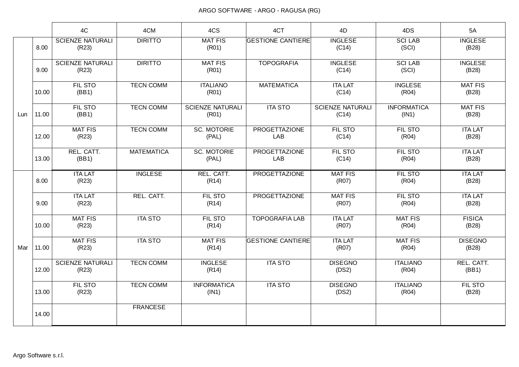|     |       | 4C                               | 4CM               | 4CS                              | 4CT                         | 4D                               | 4DS                         | 5A                      |
|-----|-------|----------------------------------|-------------------|----------------------------------|-----------------------------|----------------------------------|-----------------------------|-------------------------|
|     | 8.00  | <b>SCIENZE NATURALI</b><br>(R23) | <b>DIRITTO</b>    | <b>MAT FIS</b><br>(R01)          | <b>GESTIONE CANTIERE</b>    | <b>INGLESE</b><br>(C14)          | <b>SCILAB</b><br>(SCI)      | <b>INGLESE</b><br>(B28) |
|     | 9.00  | <b>SCIENZE NATURALI</b><br>(R23) | <b>DIRITTO</b>    | <b>MAT FIS</b><br>(R01)          | <b>TOPOGRAFIA</b>           | <b>INGLESE</b><br>(C14)          | <b>SCI LAB</b><br>(SCI)     | <b>INGLESE</b><br>(B28) |
|     | 10.00 | <b>FIL STO</b><br>(BB1)          | <b>TECN COMM</b>  | <b>ITALIANO</b><br>(R01)         | <b>MATEMATICA</b>           | <b>ITA LAT</b><br>(C14)          | <b>INGLESE</b><br>(R04)     | <b>MAT FIS</b><br>(B28) |
| Lun | 11.00 | FIL STO<br>(BB1)                 | <b>TECN COMM</b>  | <b>SCIENZE NATURALI</b><br>(R01) | <b>ITA STO</b>              | <b>SCIENZE NATURALI</b><br>(C14) | <b>INFORMATICA</b><br>(IN1) | <b>MAT FIS</b><br>(B28) |
|     | 12.00 | <b>MAT FIS</b><br>(R23)          | <b>TECN COMM</b>  | <b>SC. MOTORIE</b><br>(PAL)      | <b>PROGETTAZIONE</b><br>LAB | FIL STO<br>(C14)                 | FIL STO<br>(R04)            | <b>ITA LAT</b><br>(B28) |
|     | 13.00 | REL. CATT.<br>(BB1)              | <b>MATEMATICA</b> | <b>SC. MOTORIE</b><br>(PAL)      | <b>PROGETTAZIONE</b><br>LAB | FIL STO<br>(C14)                 | FIL STO<br>(R04)            | <b>ITA LAT</b><br>(B28) |
|     | 8.00  | <b>ITA LAT</b><br>(R23)          | <b>INGLESE</b>    | REL. CATT.<br>(R14)              | <b>PROGETTAZIONE</b>        | <b>MAT FIS</b><br>(R07)          | <b>FIL STO</b><br>(R04)     | <b>ITA LAT</b><br>(B28) |
|     | 9.00  | <b>ITA LAT</b><br>(R23)          | REL. CATT.        | FIL STO<br>(R14)                 | <b>PROGETTAZIONE</b>        | <b>MAT FIS</b><br>(R07)          | FIL STO<br>(R04)            | <b>ITA LAT</b><br>(B28) |
|     | 10.00 | <b>MAT FIS</b><br>(R23)          | <b>ITA STO</b>    | FIL STO<br>(R14)                 | <b>TOPOGRAFIA LAB</b>       | <b>ITA LAT</b><br>(R07)          | <b>MAT FIS</b><br>(R04)     | <b>FISICA</b><br>(B28)  |
| Mar | 11.00 | <b>MAT FIS</b><br>(R23)          | <b>ITA STO</b>    | <b>MAT FIS</b><br>(R14)          | <b>GESTIONE CANTIERE</b>    | <b>ITA LAT</b><br>(R07)          | <b>MAT FIS</b><br>(R04)     | <b>DISEGNO</b><br>(B28) |
|     | 12.00 | <b>SCIENZE NATURALI</b><br>(R23) | <b>TECN COMM</b>  | <b>INGLESE</b><br>(R14)          | <b>ITA STO</b>              | <b>DISEGNO</b><br>(DS2)          | <b>ITALIANO</b><br>(R04)    | REL. CATT.<br>(BB1)     |
|     | 13.00 | <b>FIL STO</b><br>(R23)          | <b>TECN COMM</b>  | <b>INFORMATICA</b><br>(IN1)      | <b>ITA STO</b>              | <b>DISEGNO</b><br>(DS2)          | <b>ITALIANO</b><br>(R04)    | FIL STO<br>(B28)        |
|     | 14.00 |                                  | <b>FRANCESE</b>   |                                  |                             |                                  |                             |                         |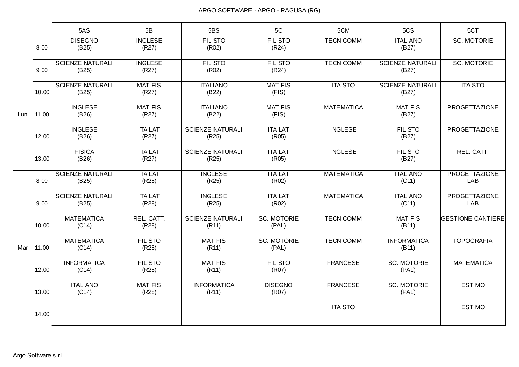|     |       | 5AS                              | 5B                      | 5BS                              | 5C                          | 5CM               | 5CS                              | 5CT                         |
|-----|-------|----------------------------------|-------------------------|----------------------------------|-----------------------------|-------------------|----------------------------------|-----------------------------|
|     | 8.00  | <b>DISEGNO</b><br>(B25)          | <b>INGLESE</b><br>(R27) | <b>FIL STO</b><br>(R02)          | <b>FIL STO</b><br>(R24)     | <b>TECN COMM</b>  | <b>ITALIANO</b><br>(B27)         | <b>SC. MOTORIE</b>          |
|     | 9.00  | <b>SCIENZE NATURALI</b><br>(B25) | <b>INGLESE</b><br>(R27) | <b>FIL STO</b><br>(R02)          | <b>FIL STO</b><br>(R24)     | <b>TECN COMM</b>  | <b>SCIENZE NATURALI</b><br>(B27) | <b>SC. MOTORIE</b>          |
|     | 10.00 | <b>SCIENZE NATURALI</b><br>(B25) | <b>MAT FIS</b><br>(R27) | <b>ITALIANO</b><br>(B22)         | <b>MAT FIS</b><br>(FIS)     | <b>ITA STO</b>    | <b>SCIENZE NATURALI</b><br>(B27) | <b>ITA STO</b>              |
| Lun | 11.00 | <b>INGLESE</b><br>(B26)          | <b>MAT FIS</b><br>(R27) | <b>ITALIANO</b><br>(B22)         | <b>MAT FIS</b><br>(FIS)     | <b>MATEMATICA</b> | <b>MAT FIS</b><br>(B27)          | <b>PROGETTAZIONE</b>        |
|     | 12.00 | <b>INGLESE</b><br>(B26)          | <b>ITA LAT</b><br>(R27) | <b>SCIENZE NATURALI</b><br>(R25) | <b>ITA LAT</b><br>(R05)     | <b>INGLESE</b>    | FIL STO<br>(B27)                 | PROGETTAZIONE               |
|     | 13.00 | <b>FISICA</b><br>(B26)           | <b>ITA LAT</b><br>(R27) | <b>SCIENZE NATURALI</b><br>(R25) | <b>ITA LAT</b><br>(R05)     | <b>INGLESE</b>    | FIL STO<br>(B27)                 | REL. CATT.                  |
|     | 8.00  | <b>SCIENZE NATURALI</b><br>(B25) | <b>ITA LAT</b><br>(R28) | <b>INGLESE</b><br>(R25)          | <b>ITA LAT</b><br>(R02)     | <b>MATEMATICA</b> | <b>ITALIANO</b><br>(C11)         | <b>PROGETTAZIONE</b><br>LAB |
|     | 9.00  | <b>SCIENZE NATURALI</b><br>(B25) | <b>ITA LAT</b><br>(R28) | <b>INGLESE</b><br>(R25)          | <b>ITA LAT</b><br>(R02)     | <b>MATEMATICA</b> | <b>ITALIANO</b><br>(C11)         | <b>PROGETTAZIONE</b><br>LAB |
|     | 10.00 | <b>MATEMATICA</b><br>(C14)       | REL. CATT.<br>(R28)     | <b>SCIENZE NATURALI</b><br>(R11) | <b>SC. MOTORIE</b><br>(PAL) | <b>TECN COMM</b>  | <b>MAT FIS</b><br>(B11)          | <b>GESTIONE CANTIERE</b>    |
| Mar | 11.00 | <b>MATEMATICA</b><br>(C14)       | <b>FIL STO</b><br>(R28) | <b>MAT FIS</b><br>(R11)          | <b>SC. MOTORIE</b><br>(PAL) | <b>TECN COMM</b>  | <b>INFORMATICA</b><br>(B11)      | <b>TOPOGRAFIA</b>           |
|     | 12.00 | <b>INFORMATICA</b><br>(C14)      | <b>FIL STO</b><br>(R28) | <b>MAT FIS</b><br>(R11)          | FIL STO<br>(R07)            | <b>FRANCESE</b>   | <b>SC. MOTORIE</b><br>(PAL)      | <b>MATEMATICA</b>           |
|     | 13.00 | <b>ITALIANO</b><br>(C14)         | <b>MAT FIS</b><br>(R28) | <b>INFORMATICA</b><br>(R11)      | <b>DISEGNO</b><br>(R07)     | <b>FRANCESE</b>   | <b>SC. MOTORIE</b><br>(PAL)      | <b>ESTIMO</b>               |
|     | 14.00 |                                  |                         |                                  |                             | <b>ITA STO</b>    |                                  | <b>ESTIMO</b>               |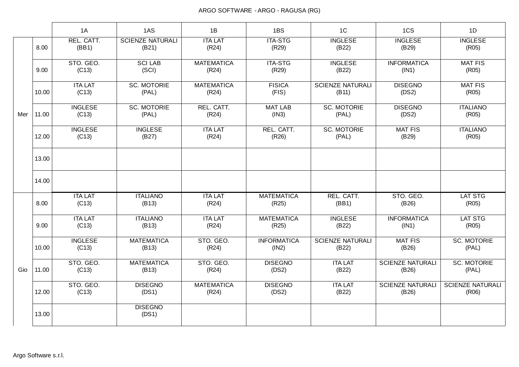|     |       | 1A                      | 1AS                              | 1B                         | 1BS                         | 1 <sup>C</sup>                   | 1CS                              | 1D                               |
|-----|-------|-------------------------|----------------------------------|----------------------------|-----------------------------|----------------------------------|----------------------------------|----------------------------------|
|     | 8.00  | REL. CATT.<br>(BB1)     | <b>SCIENZE NATURALI</b><br>(B21) | <b>ITA LAT</b><br>(R24)    | <b>ITA-STG</b><br>(R29)     | <b>INGLESE</b><br>(B22)          | <b>INGLESE</b><br>(B29)          | <b>INGLESE</b><br>(R05)          |
|     | 9.00  | STO. GEO.<br>(C13)      | <b>SCI LAB</b><br>(SCI)          | <b>MATEMATICA</b><br>(R24) | <b>ITA-STG</b><br>(R29)     | <b>INGLESE</b><br>(B22)          | <b>INFORMATICA</b><br>(IN1)      | <b>MAT FIS</b><br>(R05)          |
|     | 10.00 | <b>ITA LAT</b><br>(C13) | <b>SC. MOTORIE</b><br>(PAL)      | <b>MATEMATICA</b><br>(R24) | <b>FISICA</b><br>(FIS)      | <b>SCIENZE NATURALI</b><br>(B11) | <b>DISEGNO</b><br>(DS2)          | <b>MAT FIS</b><br>(R05)          |
| Mer | 11.00 | <b>INGLESE</b><br>(C13) | <b>SC. MOTORIE</b><br>(PAL)      | REL. CATT.<br>(R24)        | <b>MAT LAB</b><br>(1N3)     | <b>SC. MOTORIE</b><br>(PAL)      | <b>DISEGNO</b><br>(DS2)          | <b>ITALIANO</b><br>(R05)         |
|     | 12.00 | <b>INGLESE</b><br>(C13) | <b>INGLESE</b><br>(B27)          | <b>ITA LAT</b><br>(R24)    | REL. CATT.<br>(R26)         | <b>SC. MOTORIE</b><br>(PAL)      | <b>MAT FIS</b><br>(B29)          | <b>ITALIANO</b><br>(R05)         |
|     | 13.00 |                         |                                  |                            |                             |                                  |                                  |                                  |
|     | 14.00 |                         |                                  |                            |                             |                                  |                                  |                                  |
|     | 8.00  | <b>ITA LAT</b><br>(C13) | <b>ITALIANO</b><br>(B13)         | <b>ITA LAT</b><br>(R24)    | <b>MATEMATICA</b><br>(R25)  | REL. CATT.<br>(BB1)              | STO. GEO.<br>(B26)               | <b>LAT STG</b><br>(R05)          |
|     | 9.00  | <b>ITA LAT</b><br>(C13) | <b>ITALIANO</b><br>(B13)         | <b>ITA LAT</b><br>(R24)    | <b>MATEMATICA</b><br>(R25)  | <b>INGLESE</b><br>(B22)          | <b>INFORMATICA</b><br>(IN1)      | <b>LAT STG</b><br>(R05)          |
|     | 10.00 | <b>INGLESE</b><br>(C13) | <b>MATEMATICA</b><br>(B13)       | STO. GEO.<br>(R24)         | <b>INFORMATICA</b><br>(IN2) | <b>SCIENZE NATURALI</b><br>(B22) | <b>MAT FIS</b><br>(B26)          | <b>SC. MOTORIE</b><br>(PAL)      |
| Gio | 11.00 | STO. GEO.<br>(C13)      | <b>MATEMATICA</b><br>(B13)       | STO. GEO.<br>(R24)         | <b>DISEGNO</b><br>(DS2)     | <b>ITA LAT</b><br>(B22)          | <b>SCIENZE NATURALI</b><br>(B26) | <b>SC. MOTORIE</b><br>(PAL)      |
|     | 12.00 | STO. GEO.<br>(C13)      | <b>DISEGNO</b><br>(DS1)          | <b>MATEMATICA</b><br>(R24) | <b>DISEGNO</b><br>(DS2)     | <b>ITA LAT</b><br>(B22)          | <b>SCIENZE NATURALI</b><br>(B26) | <b>SCIENZE NATURALI</b><br>(R06) |
|     | 13.00 |                         | <b>DISEGNO</b><br>(DS1)          |                            |                             |                                  |                                  |                                  |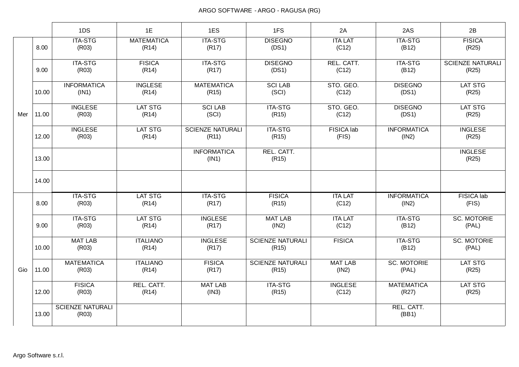|     |       | 1DS                              | 1E                         | 1ES                              | 1FS                              | 2A                      | 2AS                         | 2B                               |
|-----|-------|----------------------------------|----------------------------|----------------------------------|----------------------------------|-------------------------|-----------------------------|----------------------------------|
|     | 8.00  | <b>ITA-STG</b><br>(R03)          | <b>MATEMATICA</b><br>(R14) | <b>ITA-STG</b><br>(R17)          | <b>DISEGNO</b><br>(DS1)          | <b>ITA LAT</b><br>(C12) | <b>ITA-STG</b><br>(B12)     | <b>FISICA</b><br>(R25)           |
|     | 9.00  | <b>ITA-STG</b><br>(R03)          | <b>FISICA</b><br>(R14)     | <b>ITA-STG</b><br>(R17)          | <b>DISEGNO</b><br>(DS1)          | REL. CATT.<br>(C12)     | <b>ITA-STG</b><br>(B12)     | <b>SCIENZE NATURALI</b><br>(R25) |
|     | 10.00 | <b>INFORMATICA</b><br>(IN1)      | <b>INGLESE</b><br>(R14)    | <b>MATEMATICA</b><br>(R15)       | <b>SCI LAB</b><br>(SCI)          | STO. GEO.<br>(C12)      | <b>DISEGNO</b><br>(DS1)     | <b>LAT STG</b><br>(R25)          |
| Mer | 11.00 | <b>INGLESE</b><br>(R03)          | <b>LAT STG</b><br>(R14)    | <b>SCI LAB</b><br>(SCI)          | <b>ITA-STG</b><br>(R15)          | STO. GEO.<br>(C12)      | <b>DISEGNO</b><br>(DS1)     | <b>LAT STG</b><br>(R25)          |
|     | 12.00 | <b>INGLESE</b><br>(R03)          | <b>LAT STG</b><br>(R14)    | <b>SCIENZE NATURALI</b><br>(R11) | <b>ITA-STG</b><br>(R15)          | FISICA lab<br>(FIS)     | <b>INFORMATICA</b><br>(1N2) | <b>INGLESE</b><br>(R25)          |
|     | 13.00 |                                  |                            | <b>INFORMATICA</b><br>(IN1)      | REL. CATT.<br>(R15)              |                         |                             | <b>INGLESE</b><br>(R25)          |
|     | 14.00 |                                  |                            |                                  |                                  |                         |                             |                                  |
|     | 8.00  | <b>ITA-STG</b><br>(R03)          | LAT STG<br>(R14)           | <b>ITA-STG</b><br>(R17)          | <b>FISICA</b><br>(R15)           | <b>ITA LAT</b><br>(C12) | <b>INFORMATICA</b><br>(1N2) | FISICA lab<br>(FIS)              |
|     | 9.00  | <b>ITA-STG</b><br>(R03)          | <b>LAT STG</b><br>(R14)    | <b>INGLESE</b><br>(R17)          | <b>MAT LAB</b><br>(1N2)          | <b>ITA LAT</b><br>(C12) | <b>ITA-STG</b><br>(B12)     | <b>SC. MOTORIE</b><br>(PAL)      |
|     | 10.00 | <b>MAT LAB</b><br>(R03)          | <b>ITALIANO</b><br>(R14)   | <b>INGLESE</b><br>(R17)          | <b>SCIENZE NATURALI</b><br>(R15) | <b>FISICA</b>           | <b>ITA-STG</b><br>(B12)     | <b>SC. MOTORIE</b><br>(PAL)      |
| Gio | 11.00 | <b>MATEMATICA</b><br>(R03)       | <b>ITALIANO</b><br>(R14)   | <b>FISICA</b><br>(R17)           | <b>SCIENZE NATURALI</b><br>(R15) | <b>MAT LAB</b><br>(1N2) | <b>SC. MOTORIE</b><br>(PAL) | <b>LAT STG</b><br>(R25)          |
|     | 12.00 | <b>FISICA</b><br>(R03)           | REL. CATT.<br>(R14)        | <b>MAT LAB</b><br>(1N3)          | <b>ITA-STG</b><br>(R15)          | <b>INGLESE</b><br>(C12) | <b>MATEMATICA</b><br>(R27)  | <b>LAT STG</b><br>(R25)          |
|     | 13.00 | <b>SCIENZE NATURALI</b><br>(R03) |                            |                                  |                                  |                         | REL. CATT.<br>(BB1)         |                                  |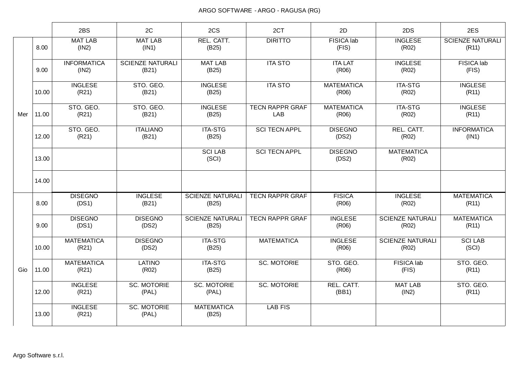|     |       | 2BS                         | 2C                               | 2CS                              | 2CT                           | 2D                         | 2DS                              | 2ES                              |
|-----|-------|-----------------------------|----------------------------------|----------------------------------|-------------------------------|----------------------------|----------------------------------|----------------------------------|
|     | 8.00  | <b>MAT LAB</b><br>(1N2)     | <b>MAT LAB</b><br>(IN1)          | REL. CATT.<br>(B25)              | <b>DIRITTO</b>                | <b>FISICA lab</b><br>(FIS) | <b>INGLESE</b><br>(R02)          | <b>SCIENZE NATURALI</b><br>(R11) |
|     | 9.00  | <b>INFORMATICA</b><br>(1N2) | <b>SCIENZE NATURALI</b><br>(B21) | <b>MAT LAB</b><br>(B25)          | <b>ITA STO</b>                | <b>ITA LAT</b><br>(R06)    | <b>INGLESE</b><br>(R02)          | FISICA lab<br>(FIS)              |
|     | 10.00 | <b>INGLESE</b><br>(R21)     | STO. GEO.<br>(B21)               | <b>INGLESE</b><br>(B25)          | <b>ITA STO</b>                | <b>MATEMATICA</b><br>(R06) | <b>ITA-STG</b><br>(R02)          | <b>INGLESE</b><br>(R11)          |
| Mer | 11.00 | STO. GEO.<br>(R21)          | STO. GEO.<br>(B21)               | <b>INGLESE</b><br>(B25)          | <b>TECN RAPPR GRAF</b><br>LAB | <b>MATEMATICA</b><br>(R06) | <b>ITA-STG</b><br>(R02)          | <b>INGLESE</b><br>(R11)          |
|     | 12.00 | STO. GEO.<br>(R21)          | <b>ITALIANO</b><br>(B21)         | <b>ITA-STG</b><br>(B25)          | <b>SCI TECN APPL</b>          | <b>DISEGNO</b><br>(DS2)    | REL. CATT.<br>(R02)              | <b>INFORMATICA</b><br>(IN1)      |
|     | 13.00 |                             |                                  | <b>SCI LAB</b><br>(SCI)          | <b>SCI TECN APPL</b>          | <b>DISEGNO</b><br>(DS2)    | <b>MATEMATICA</b><br>(R02)       |                                  |
|     | 14.00 |                             |                                  |                                  |                               |                            |                                  |                                  |
|     | 8.00  | <b>DISEGNO</b><br>(DS1)     | <b>INGLESE</b><br>(B21)          | <b>SCIENZE NATURALI</b><br>(B25) | <b>TECN RAPPR GRAF</b>        | <b>FISICA</b><br>(R06)     | <b>INGLESE</b><br>(R02)          | <b>MATEMATICA</b><br>(R11)       |
|     | 9.00  | <b>DISEGNO</b><br>(DS1)     | <b>DISEGNO</b><br>(DS2)          | <b>SCIENZE NATURALI</b><br>(B25) | <b>TECN RAPPR GRAF</b>        | <b>INGLESE</b><br>(R06)    | <b>SCIENZE NATURALI</b><br>(R02) | <b>MATEMATICA</b><br>(R11)       |
|     | 10.00 | <b>MATEMATICA</b><br>(R21)  | <b>DISEGNO</b><br>(DS2)          | <b>ITA-STG</b><br>(B25)          | <b>MATEMATICA</b>             | <b>INGLESE</b><br>(R06)    | <b>SCIENZE NATURALI</b><br>(R02) | <b>SCI LAB</b><br>(SCI)          |
| Gio | 11.00 | <b>MATEMATICA</b><br>(R21)  | LATINO<br>(R02)                  | <b>ITA-STG</b><br>(B25)          | <b>SC. MOTORIE</b>            | STO. GEO.<br>(R06)         | FISICA lab<br>(FIS)              | STO. GEO.<br>(R11)               |
|     | 12.00 | <b>INGLESE</b><br>(R21)     | <b>SC. MOTORIE</b><br>(PAL)      | <b>SC. MOTORIE</b><br>(PAL)      | <b>SC. MOTORIE</b>            | REL. CATT.<br>(BB1)        | <b>MAT LAB</b><br>(1N2)          | STO. GEO.<br>(R11)               |
|     | 13.00 | <b>INGLESE</b><br>(R21)     | <b>SC. MOTORIE</b><br>(PAL)      | <b>MATEMATICA</b><br>(B25)       | <b>LAB FIS</b>                |                            |                                  |                                  |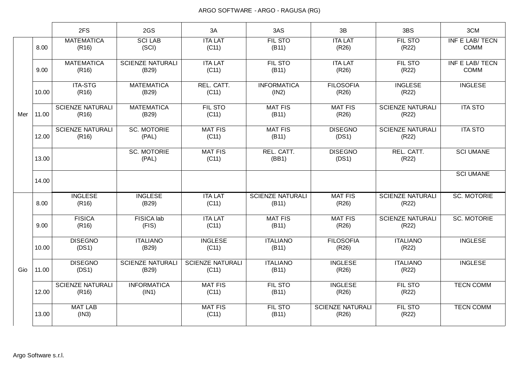|     |       | 2FS                              | 2GS                              | 3A                               | 3AS                              | 3B                               | 3BS                              | 3CM                                   |
|-----|-------|----------------------------------|----------------------------------|----------------------------------|----------------------------------|----------------------------------|----------------------------------|---------------------------------------|
|     | 8.00  | <b>MATEMATICA</b><br>(R16)       | <b>SCILAB</b><br>(SCI)           | <b>ITA LAT</b><br>(C11)          | <b>FIL STO</b><br>(B11)          | <b>ITA LAT</b><br>(R26)          | <b>FIL STO</b><br>(R22)          | <b>INF E LAB/ TECN</b><br><b>COMM</b> |
|     | 9.00  | <b>MATEMATICA</b><br>(R16)       | <b>SCIENZE NATURALI</b><br>(B29) | <b>ITA LAT</b><br>(C11)          | <b>FIL STO</b><br>(B11)          | <b>ITA LAT</b><br>(R26)          | FIL STO<br>(R22)                 | INF E LAB/ TECN<br><b>COMM</b>        |
|     | 10.00 | <b>ITA-STG</b><br>(R16)          | <b>MATEMATICA</b><br>(B29)       | REL. CATT.<br>(C11)              | <b>INFORMATICA</b><br>(IN2)      | <b>FILOSOFIA</b><br>(R26)        | <b>INGLESE</b><br>(R22)          | <b>INGLESE</b>                        |
| Mer | 11.00 | <b>SCIENZE NATURALI</b><br>(R16) | <b>MATEMATICA</b><br>(B29)       | <b>FIL STO</b><br>(C11)          | <b>MAT FIS</b><br>(B11)          | <b>MAT FIS</b><br>(R26)          | <b>SCIENZE NATURALI</b><br>(R22) | <b>ITA STO</b>                        |
|     | 12.00 | <b>SCIENZE NATURALI</b><br>(R16) | <b>SC. MOTORIE</b><br>(PAL)      | <b>MAT FIS</b><br>(C11)          | <b>MAT FIS</b><br>(B11)          | <b>DISEGNO</b><br>(DS1)          | <b>SCIENZE NATURALI</b><br>(R22) | <b>ITA STO</b>                        |
|     | 13.00 |                                  | <b>SC. MOTORIE</b><br>(PAL)      | <b>MAT FIS</b><br>(C11)          | REL. CATT.<br>(BB1)              | <b>DISEGNO</b><br>(DS1)          | REL. CATT.<br>(R22)              | <b>SCI UMANE</b>                      |
|     | 14.00 |                                  |                                  |                                  |                                  |                                  |                                  | <b>SCI UMANE</b>                      |
|     | 8.00  | <b>INGLESE</b><br>(R16)          | <b>INGLESE</b><br>(B29)          | <b>ITA LAT</b><br>(C11)          | <b>SCIENZE NATURALI</b><br>(B11) | <b>MAT FIS</b><br>(R26)          | <b>SCIENZE NATURALI</b><br>(R22) | <b>SC. MOTORIE</b>                    |
|     | 9.00  | <b>FISICA</b><br>(R16)           | FISICA lab<br>(FIS)              | <b>ITA LAT</b><br>(C11)          | <b>MAT FIS</b><br>(B11)          | <b>MAT FIS</b><br>(R26)          | <b>SCIENZE NATURALI</b><br>(R22) | <b>SC. MOTORIE</b>                    |
|     | 10.00 | <b>DISEGNO</b><br>(DS1)          | <b>ITALIANO</b><br>(B29)         | <b>INGLESE</b><br>(C11)          | <b>ITALIANO</b><br>(B11)         | <b>FILOSOFIA</b><br>(R26)        | <b>ITALIANO</b><br>(R22)         | <b>INGLESE</b>                        |
| Gio | 11.00 | <b>DISEGNO</b><br>(DS1)          | <b>SCIENZE NATURALI</b><br>(B29) | <b>SCIENZE NATURALI</b><br>(C11) | <b>ITALIANO</b><br>(B11)         | <b>INGLESE</b><br>(R26)          | <b>ITALIANO</b><br>(R22)         | <b>INGLESE</b>                        |
|     | 12.00 | <b>SCIENZE NATURALI</b><br>(R16) | <b>INFORMATICA</b><br>(IN1)      | <b>MAT FIS</b><br>(C11)          | FIL STO<br>(B11)                 | <b>INGLESE</b><br>(R26)          | <b>FIL STO</b><br>(R22)          | <b>TECN COMM</b>                      |
|     | 13.00 | <b>MAT LAB</b><br>(1N3)          |                                  | <b>MAT FIS</b><br>(C11)          | FIL STO<br>(B11)                 | <b>SCIENZE NATURALI</b><br>(R26) | FIL STO<br>(R22)                 | <b>TECN COMM</b>                      |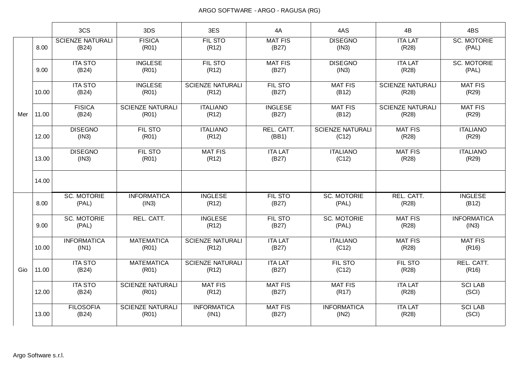|     |       | 3CS                              | 3DS                              | 3ES                              | 4A                      | 4AS                              | 4B                               | 4BS                         |
|-----|-------|----------------------------------|----------------------------------|----------------------------------|-------------------------|----------------------------------|----------------------------------|-----------------------------|
|     | 8.00  | <b>SCIENZE NATURALI</b><br>(B24) | <b>FISICA</b><br>(R01)           | FIL STO<br>(R12)                 | <b>MAT FIS</b><br>(B27) | <b>DISEGNO</b><br>(1N3)          | <b>ITA LAT</b><br>(R28)          | <b>SC. MOTORIE</b><br>(PAL) |
|     | 9.00  | <b>ITA STO</b><br>(B24)          | <b>INGLESE</b><br>(R01)          | FIL STO<br>(R12)                 | <b>MAT FIS</b><br>(B27) | <b>DISEGNO</b><br>(1N3)          | <b>ITA LAT</b><br>(R28)          | <b>SC. MOTORIE</b><br>(PAL) |
|     | 10.00 | <b>ITA STO</b><br>(B24)          | <b>INGLESE</b><br>(R01)          | <b>SCIENZE NATURALI</b><br>(R12) | FIL STO<br>(B27)        | <b>MAT FIS</b><br>(B12)          | <b>SCIENZE NATURALI</b><br>(R28) | <b>MAT FIS</b><br>(R29)     |
| Mer | 11.00 | <b>FISICA</b><br>(B24)           | <b>SCIENZE NATURALI</b><br>(R01) | <b>ITALIANO</b><br>(R12)         | <b>INGLESE</b><br>(B27) | <b>MAT FIS</b><br>(B12)          | <b>SCIENZE NATURALI</b><br>(R28) | <b>MAT FIS</b><br>(R29)     |
|     | 12.00 | <b>DISEGNO</b><br>(1N3)          | FIL STO<br>(R01)                 | <b>ITALIANO</b><br>(R12)         | REL. CATT.<br>(BB1)     | <b>SCIENZE NATURALI</b><br>(C12) | <b>MAT FIS</b><br>(R28)          | <b>ITALIANO</b><br>(R29)    |
|     | 13.00 | <b>DISEGNO</b><br>(1N3)          | FIL STO<br>(R01)                 | <b>MAT FIS</b><br>(R12)          | <b>ITA LAT</b><br>(B27) | <b>ITALIANO</b><br>(C12)         | <b>MAT FIS</b><br>(R28)          | <b>ITALIANO</b><br>(R29)    |
|     | 14.00 |                                  |                                  |                                  |                         |                                  |                                  |                             |
|     | 8.00  | <b>SC. MOTORIE</b><br>(PAL)      | <b>INFORMATICA</b><br>(IN3)      | <b>INGLESE</b><br>(R12)          | FIL STO<br>(B27)        | <b>SC. MOTORIE</b><br>(PAL)      | REL. CATT.<br>(R28)              | <b>INGLESE</b><br>(B12)     |
|     | 9.00  | <b>SC. MOTORIE</b><br>(PAL)      | REL. CATT.                       | <b>INGLESE</b><br>(R12)          | FIL STO<br>(B27)        | <b>SC. MOTORIE</b><br>(PAL)      | <b>MAT FIS</b><br>(R28)          | <b>INFORMATICA</b><br>(IN3) |
|     | 10.00 | <b>INFORMATICA</b><br>(IN1)      | <b>MATEMATICA</b><br>(R01)       | <b>SCIENZE NATURALI</b><br>(R12) | <b>ITA LAT</b><br>(B27) | <b>ITALIANO</b><br>(C12)         | <b>MAT FIS</b><br>(R28)          | <b>MAT FIS</b><br>(R16)     |
| Gio | 11.00 | <b>ITA STO</b><br>(B24)          | <b>MATEMATICA</b><br>(R01)       | <b>SCIENZE NATURALI</b><br>(R12) | <b>ITA LAT</b><br>(B27) | <b>FIL STO</b><br>(C12)          | <b>FIL STO</b><br>(R28)          | REL. CATT.<br>(R16)         |
|     | 12.00 | <b>ITA STO</b><br>(B24)          | <b>SCIENZE NATURALI</b><br>(R01) | <b>MAT FIS</b><br>(R12)          | <b>MAT FIS</b><br>(B27) | <b>MAT FIS</b><br>(R17)          | <b>ITA LAT</b><br>(R28)          | <b>SCI LAB</b><br>(SCI)     |
|     | 13.00 | <b>FILOSOFIA</b><br>(B24)        | <b>SCIENZE NATURALI</b><br>(R01) | <b>INFORMATICA</b><br>(IN1)      | <b>MAT FIS</b><br>(B27) | <b>INFORMATICA</b><br>(1N2)      | <b>ITA LAT</b><br>(R28)          | <b>SCI LAB</b><br>(SCI)     |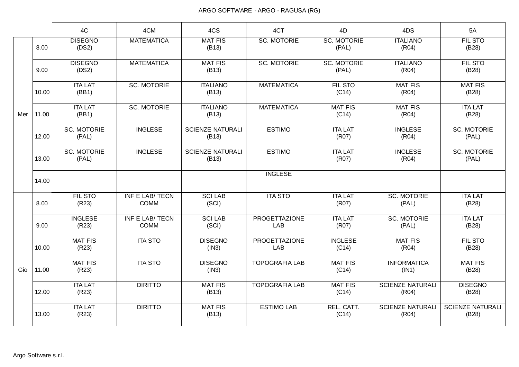|     |       | 4C                          | 4CM                                   | 4CS                              | 4CT                         | 4D                          | 4DS                              | 5A                               |
|-----|-------|-----------------------------|---------------------------------------|----------------------------------|-----------------------------|-----------------------------|----------------------------------|----------------------------------|
|     | 8.00  | <b>DISEGNO</b><br>(DS2)     | <b>MATEMATICA</b>                     | <b>MAT FIS</b><br>(B13)          | <b>SC. MOTORIE</b>          | <b>SC. MOTORIE</b><br>(PAL) | <b>ITALIANO</b><br>(R04)         | <b>FIL STO</b><br>(B28)          |
|     | 9.00  | <b>DISEGNO</b><br>(DS2)     | <b>MATEMATICA</b>                     | <b>MAT FIS</b><br>(B13)          | <b>SC. MOTORIE</b>          | <b>SC. MOTORIE</b><br>(PAL) | <b>ITALIANO</b><br>(R04)         | FIL STO<br>(B28)                 |
| Mer | 10.00 | <b>ITA LAT</b><br>(BB1)     | <b>SC. MOTORIE</b>                    | <b>ITALIANO</b><br>(B13)         | <b>MATEMATICA</b>           | FIL STO<br>(C14)            | <b>MAT FIS</b><br>(R04)          | <b>MAT FIS</b><br>(B28)          |
|     | 11.00 | <b>ITA LAT</b><br>(BB1)     | <b>SC. MOTORIE</b>                    | <b>ITALIANO</b><br>(B13)         | <b>MATEMATICA</b>           | <b>MAT FIS</b><br>(C14)     | <b>MAT FIS</b><br>(R04)          | <b>ITA LAT</b><br>(B28)          |
|     | 12.00 | <b>SC. MOTORIE</b><br>(PAL) | <b>INGLESE</b>                        | <b>SCIENZE NATURALI</b><br>(B13) | <b>ESTIMO</b>               | <b>ITA LAT</b><br>(R07)     | <b>INGLESE</b><br>(R04)          | <b>SC. MOTORIE</b><br>(PAL)      |
|     | 13.00 | <b>SC. MOTORIE</b><br>(PAL) | <b>INGLESE</b>                        | <b>SCIENZE NATURALI</b><br>(B13) | <b>ESTIMO</b>               | <b>ITA LAT</b><br>(R07)     | <b>INGLESE</b><br>(R04)          | <b>SC. MOTORIE</b><br>(PAL)      |
|     | 14.00 |                             |                                       |                                  | <b>INGLESE</b>              |                             |                                  |                                  |
|     | 8.00  | <b>FIL STO</b><br>(R23)     | <b>INF E LAB/ TECN</b><br><b>COMM</b> | <b>SCI LAB</b><br>(SCI)          | <b>ITA STO</b>              | <b>ITA LAT</b><br>(R07)     | <b>SC. MOTORIE</b><br>(PAL)      | <b>ITA LAT</b><br>(B28)          |
|     | 9.00  | <b>INGLESE</b><br>(R23)     | INF E LAB/ TECN<br><b>COMM</b>        | <b>SCI LAB</b><br>(SCI)          | <b>PROGETTAZIONE</b><br>LAB | <b>ITA LAT</b><br>(R07)     | <b>SC. MOTORIE</b><br>(PAL)      | <b>ITA LAT</b><br>(B28)          |
|     | 10.00 | <b>MAT FIS</b><br>(R23)     | <b>ITA STO</b>                        | <b>DISEGNO</b><br>(1N3)          | <b>PROGETTAZIONE</b><br>LAB | <b>INGLESE</b><br>(C14)     | <b>MAT FIS</b><br>(R04)          | <b>FIL STO</b><br>(B28)          |
| Gio | 11.00 | <b>MAT FIS</b><br>(R23)     | <b>ITA STO</b>                        | <b>DISEGNO</b><br>(IN3)          | <b>TOPOGRAFIA LAB</b>       | <b>MAT FIS</b><br>(C14)     | <b>INFORMATICA</b><br>(IN1)      | <b>MAT FIS</b><br>(B28)          |
|     | 12.00 | <b>ITA LAT</b><br>(R23)     | <b>DIRITTO</b>                        | <b>MAT FIS</b><br>(B13)          | <b>TOPOGRAFIA LAB</b>       | <b>MAT FIS</b><br>(C14)     | <b>SCIENZE NATURALI</b><br>(R04) | <b>DISEGNO</b><br>(B28)          |
|     | 13.00 | <b>ITA LAT</b><br>(R23)     | <b>DIRITTO</b>                        | <b>MAT FIS</b><br>(B13)          | <b>ESTIMO LAB</b>           | REL. CATT.<br>(C14)         | <b>SCIENZE NATURALI</b><br>(R04) | <b>SCIENZE NATURALI</b><br>(B28) |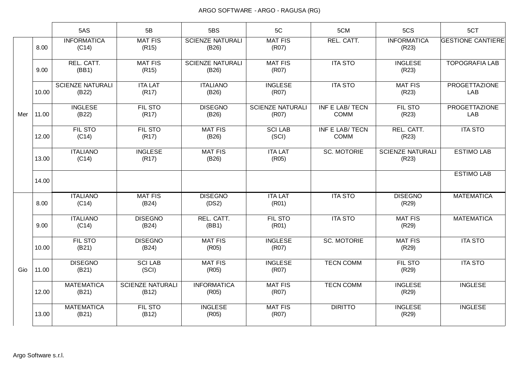|     |       | 5AS                              | 5B                               | 5BS                              | 5C                               | 5CM                            | 5CS                              | 5CT                         |
|-----|-------|----------------------------------|----------------------------------|----------------------------------|----------------------------------|--------------------------------|----------------------------------|-----------------------------|
|     | 8.00  | <b>INFORMATICA</b><br>(C14)      | <b>MAT FIS</b><br>(R15)          | <b>SCIENZE NATURALI</b><br>(B26) | <b>MAT FIS</b><br>(R07)          | REL. CATT.                     | <b>INFORMATICA</b><br>(R23)      | <b>GESTIONE CANTIERE</b>    |
|     | 9.00  | REL. CATT.<br>(BB1)              | <b>MAT FIS</b><br>(R15)          | <b>SCIENZE NATURALI</b><br>(B26) | <b>MAT FIS</b><br>(R07)          | <b>ITA STO</b>                 | <b>INGLESE</b><br>(R23)          | <b>TOPOGRAFIA LAB</b>       |
| Mer | 10.00 | <b>SCIENZE NATURALI</b><br>(B22) | <b>ITA LAT</b><br>(R17)          | <b>ITALIANO</b><br>(B26)         | <b>INGLESE</b><br>(R07)          | <b>ITA STO</b>                 | <b>MAT FIS</b><br>(R23)          | <b>PROGETTAZIONE</b><br>LAB |
|     | 11.00 | <b>INGLESE</b><br>(B22)          | <b>FIL STO</b><br>(R17)          | <b>DISEGNO</b><br>(B26)          | <b>SCIENZE NATURALI</b><br>(R07) | INF E LAB/ TECN<br><b>COMM</b> | FIL STO<br>(R23)                 | <b>PROGETTAZIONE</b><br>LAB |
|     | 12.00 | <b>FIL STO</b><br>(C14)          | <b>FIL STO</b><br>(R17)          | <b>MAT FIS</b><br>(B26)          | <b>SCI LAB</b><br>(SCI)          | INF E LAB/ TECN<br><b>COMM</b> | REL. CATT.<br>(R23)              | <b>ITA STO</b>              |
|     | 13.00 | <b>ITALIANO</b><br>(C14)         | <b>INGLESE</b><br>(R17)          | <b>MAT FIS</b><br>(B26)          | <b>ITA LAT</b><br>(R05)          | <b>SC. MOTORIE</b>             | <b>SCIENZE NATURALI</b><br>(R23) | <b>ESTIMO LAB</b>           |
|     | 14.00 |                                  |                                  |                                  |                                  |                                |                                  | <b>ESTIMO LAB</b>           |
|     | 8.00  | <b>ITALIANO</b><br>(C14)         | <b>MAT FIS</b><br>(B24)          | <b>DISEGNO</b><br>(DS2)          | <b>ITA LAT</b><br>(R01)          | <b>ITA STO</b>                 | <b>DISEGNO</b><br>(R29)          | <b>MATEMATICA</b>           |
|     | 9.00  | <b>ITALIANO</b><br>(C14)         | <b>DISEGNO</b><br>(B24)          | REL. CATT.<br>(BB1)              | FIL STO<br>(R01)                 | <b>ITA STO</b>                 | <b>MAT FIS</b><br>(R29)          | <b>MATEMATICA</b>           |
|     | 10.00 | <b>FIL STO</b><br>(B21)          | <b>DISEGNO</b><br>(B24)          | <b>MAT FIS</b><br>(R05)          | <b>INGLESE</b><br>(R07)          | <b>SC. MOTORIE</b>             | <b>MAT FIS</b><br>(R29)          | <b>ITA STO</b>              |
| Gio | 11.00 | <b>DISEGNO</b><br>(B21)          | <b>SCI LAB</b><br>(SCI)          | <b>MAT FIS</b><br>(R05)          | <b>INGLESE</b><br>(R07)          | <b>TECN COMM</b>               | FIL STO<br>(R29)                 | <b>ITA STO</b>              |
|     | 12.00 | <b>MATEMATICA</b><br>(B21)       | <b>SCIENZE NATURALI</b><br>(B12) | <b>INFORMATICA</b><br>(R05)      | <b>MAT FIS</b><br>(R07)          | <b>TECN COMM</b>               | <b>INGLESE</b><br>(R29)          | <b>INGLESE</b>              |
|     | 13.00 | <b>MATEMATICA</b><br>(B21)       | <b>FIL STO</b><br>(B12)          | <b>INGLESE</b><br>(R05)          | <b>MAT FIS</b><br>(R07)          | <b>DIRITTO</b>                 | <b>INGLESE</b><br>(R29)          | <b>INGLESE</b>              |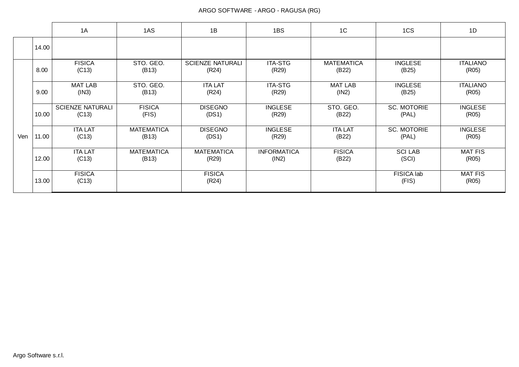|     |       | 1A                               | 1AS                        | 1B                               | 1BS                         | 1C                         | 1CS                         | 1D                       |
|-----|-------|----------------------------------|----------------------------|----------------------------------|-----------------------------|----------------------------|-----------------------------|--------------------------|
|     | 14.00 |                                  |                            |                                  |                             |                            |                             |                          |
|     | 8.00  | <b>FISICA</b><br>(C13)           | STO. GEO.<br>(B13)         | <b>SCIENZE NATURALI</b><br>(R24) | <b>ITA-STG</b><br>(R29)     | <b>MATEMATICA</b><br>(B22) | <b>INGLESE</b><br>(B25)     | <b>ITALIANO</b><br>(R05) |
|     | 9.00  | <b>MAT LAB</b><br>(IN3)          | STO. GEO.<br>(B13)         | <b>ITA LAT</b><br>(R24)          | <b>ITA-STG</b><br>(R29)     | <b>MAT LAB</b><br>(1N2)    | <b>INGLESE</b><br>(B25)     | <b>ITALIANO</b><br>(R05) |
|     | 10.00 | <b>SCIENZE NATURALI</b><br>(C13) | <b>FISICA</b><br>(FIS)     | <b>DISEGNO</b><br>(DS1)          | <b>INGLESE</b><br>(R29)     | STO. GEO.<br>(B22)         | <b>SC. MOTORIE</b><br>(PAL) | <b>INGLESE</b><br>(R05)  |
| Ven | 11.00 | <b>ITA LAT</b><br>(C13)          | <b>MATEMATICA</b><br>(B13) | <b>DISEGNO</b><br>(DS1)          | <b>INGLESE</b><br>(R29)     | <b>ITA LAT</b><br>(B22)    | <b>SC. MOTORIE</b><br>(PAL) | <b>INGLESE</b><br>(R05)  |
|     | 12.00 | <b>ITA LAT</b><br>(C13)          | <b>MATEMATICA</b><br>(B13) | <b>MATEMATICA</b><br>(R29)       | <b>INFORMATICA</b><br>(1N2) | <b>FISICA</b><br>(B22)     | <b>SCI LAB</b><br>(SCI)     | <b>MAT FIS</b><br>(R05)  |
|     | 13.00 | <b>FISICA</b><br>(C13)           |                            | <b>FISICA</b><br>(R24)           |                             |                            | FISICA lab<br>(FIS)         | <b>MAT FIS</b><br>(R05)  |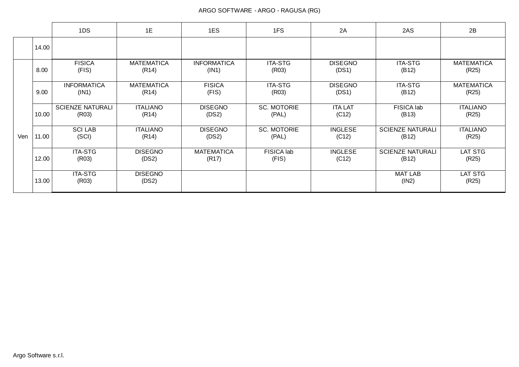|     |       | 1DS                              | 1E                         | 1ES                         | 1FS                         | 2A                      | 2AS                              | 2B                         |
|-----|-------|----------------------------------|----------------------------|-----------------------------|-----------------------------|-------------------------|----------------------------------|----------------------------|
|     | 14.00 |                                  |                            |                             |                             |                         |                                  |                            |
|     | 8.00  | <b>FISICA</b><br>(FIS)           | <b>MATEMATICA</b><br>(R14) | <b>INFORMATICA</b><br>(IN1) | <b>ITA-STG</b><br>(R03)     | <b>DISEGNO</b><br>(DS1) | <b>ITA-STG</b><br>(B12)          | <b>MATEMATICA</b><br>(R25) |
|     | 9.00  | <b>INFORMATICA</b><br>(IN1)      | <b>MATEMATICA</b><br>(R14) | <b>FISICA</b><br>(FIS)      | <b>ITA-STG</b><br>(R03)     | <b>DISEGNO</b><br>(DS1) | <b>ITA-STG</b><br>(B12)          | <b>MATEMATICA</b><br>(R25) |
|     | 10.00 | <b>SCIENZE NATURALI</b><br>(R03) | <b>ITALIANO</b><br>(R14)   | <b>DISEGNO</b><br>(DS2)     | <b>SC. MOTORIE</b><br>(PAL) | <b>ITA LAT</b><br>(C12) | FISICA lab<br>(B13)              | <b>ITALIANO</b><br>(R25)   |
| Ven | 11.00 | <b>SCILAB</b><br>(SCI)           | <b>ITALIANO</b><br>(R14)   | <b>DISEGNO</b><br>(DS2)     | <b>SC. MOTORIE</b><br>(PAL) | <b>INGLESE</b><br>(C12) | <b>SCIENZE NATURALI</b><br>(B12) | <b>ITALIANO</b><br>(R25)   |
|     | 12.00 | <b>ITA-STG</b><br>(R03)          | <b>DISEGNO</b><br>(DS2)    | <b>MATEMATICA</b><br>(R17)  | FISICA lab<br>(FIS)         | <b>INGLESE</b><br>(C12) | <b>SCIENZE NATURALI</b><br>(B12) | LAT STG<br>(R25)           |
|     | 13.00 | <b>ITA-STG</b><br>(R03)          | <b>DISEGNO</b><br>(DS2)    |                             |                             |                         | <b>MAT LAB</b><br>(1N2)          | LAT STG<br>(R25)           |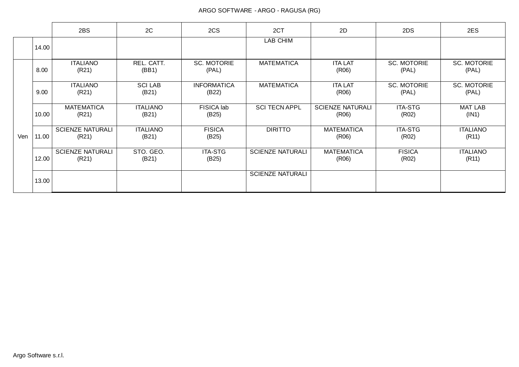|     |       | 2BS                              | 2C                       | 2CS                         | 2CT                     | 2D                               | 2DS                         | 2ES                         |
|-----|-------|----------------------------------|--------------------------|-----------------------------|-------------------------|----------------------------------|-----------------------------|-----------------------------|
|     | 14.00 |                                  |                          |                             | LAB CHIM                |                                  |                             |                             |
|     | 8.00  | <b>ITALIANO</b><br>(R21)         | REL. CATT.<br>(BB1)      | <b>SC. MOTORIE</b><br>(PAL) | <b>MATEMATICA</b>       | <b>ITA LAT</b><br>(R06)          | <b>SC. MOTORIE</b><br>(PAL) | <b>SC. MOTORIE</b><br>(PAL) |
|     | 9.00  | <b>ITALIANO</b><br>(R21)         | <b>SCI LAB</b><br>(B21)  | <b>INFORMATICA</b><br>(B22) | <b>MATEMATICA</b>       | <b>ITA LAT</b><br>(R06)          | <b>SC. MOTORIE</b><br>(PAL) | <b>SC. MOTORIE</b><br>(PAL) |
|     | 10.00 | <b>MATEMATICA</b><br>(R21)       | <b>ITALIANO</b><br>(B21) | FISICA lab<br>(B25)         | <b>SCI TECN APPL</b>    | <b>SCIENZE NATURALI</b><br>(R06) | <b>ITA-STG</b><br>(R02)     | <b>MAT LAB</b><br>(IN1)     |
| Ven | 11.00 | <b>SCIENZE NATURALI</b><br>(R21) | <b>ITALIANO</b><br>(B21) | <b>FISICA</b><br>(B25)      | <b>DIRITTO</b>          | <b>MATEMATICA</b><br>(R06)       | <b>ITA-STG</b><br>(R02)     | <b>ITALIANO</b><br>(R11)    |
|     | 12.00 | <b>SCIENZE NATURALI</b><br>(R21) | STO. GEO.<br>(B21)       | <b>ITA-STG</b><br>(B25)     | <b>SCIENZE NATURALI</b> | <b>MATEMATICA</b><br>(R06)       | <b>FISICA</b><br>(R02)      | <b>ITALIANO</b><br>(R11)    |
|     | 13.00 |                                  |                          |                             | <b>SCIENZE NATURALI</b> |                                  |                             |                             |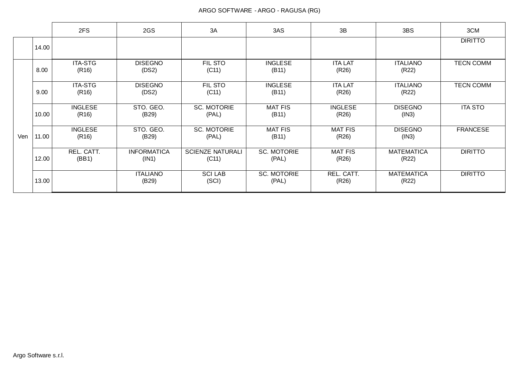|     |       | 2FS                     | 2GS                         | 3A                               | 3AS                         | 3B                      | 3BS                        | 3CM              |
|-----|-------|-------------------------|-----------------------------|----------------------------------|-----------------------------|-------------------------|----------------------------|------------------|
|     | 14.00 |                         |                             |                                  |                             |                         |                            | <b>DIRITTO</b>   |
|     | 8.00  | <b>ITA-STG</b><br>(R16) | <b>DISEGNO</b><br>(DS2)     | FIL STO<br>(C11)                 | <b>INGLESE</b><br>(B11)     | <b>ITA LAT</b><br>(R26) | <b>ITALIANO</b><br>(R22)   | <b>TECN COMM</b> |
|     | 9.00  | <b>ITA-STG</b><br>(R16) | <b>DISEGNO</b><br>(DS2)     | FIL STO<br>(C11)                 | <b>INGLESE</b><br>(B11)     | <b>ITA LAT</b><br>(R26) | <b>ITALIANO</b><br>(R22)   | <b>TECN COMM</b> |
|     | 10.00 | <b>INGLESE</b><br>(R16) | STO. GEO.<br>(B29)          | <b>SC. MOTORIE</b><br>(PAL)      | <b>MAT FIS</b><br>(B11)     | <b>INGLESE</b><br>(R26) | <b>DISEGNO</b><br>(1N3)    | <b>ITA STO</b>   |
| Ven | 11.00 | <b>INGLESE</b><br>(R16) | STO. GEO.<br>(B29)          | <b>SC. MOTORIE</b><br>(PAL)      | <b>MAT FIS</b><br>(B11)     | <b>MAT FIS</b><br>(R26) | <b>DISEGNO</b><br>(IN3)    | <b>FRANCESE</b>  |
|     | 12.00 | REL. CATT.<br>(BB1)     | <b>INFORMATICA</b><br>(IN1) | <b>SCIENZE NATURALI</b><br>(C11) | <b>SC. MOTORIE</b><br>(PAL) | <b>MAT FIS</b><br>(R26) | <b>MATEMATICA</b><br>(R22) | <b>DIRITTO</b>   |
|     | 13.00 |                         | <b>ITALIANO</b><br>(B29)    | <b>SCI LAB</b><br>(SCI)          | <b>SC. MOTORIE</b><br>(PAL) | REL. CATT.<br>(R26)     | <b>MATEMATICA</b><br>(R22) | <b>DIRITTO</b>   |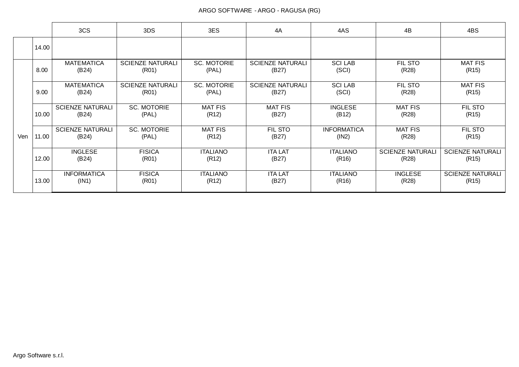|     |       | 3CS                              | 3DS                              | 3ES                         | 4A                               | 4AS                         | 4B                               | 4BS                              |
|-----|-------|----------------------------------|----------------------------------|-----------------------------|----------------------------------|-----------------------------|----------------------------------|----------------------------------|
|     | 14.00 |                                  |                                  |                             |                                  |                             |                                  |                                  |
|     | 8.00  | <b>MATEMATICA</b><br>(B24)       | <b>SCIENZE NATURALI</b><br>(R01) | <b>SC. MOTORIE</b><br>(PAL) | <b>SCIENZE NATURALI</b><br>(B27) | <b>SCILAB</b><br>(SCI)      | <b>FIL STO</b><br>(R28)          | <b>MAT FIS</b><br>(R15)          |
|     | 9.00  | <b>MATEMATICA</b><br>(B24)       | <b>SCIENZE NATURALI</b><br>(R01) | <b>SC. MOTORIE</b><br>(PAL) | <b>SCIENZE NATURALI</b><br>(B27) | <b>SCILAB</b><br>(SCI)      | <b>FIL STO</b><br>(R28)          | <b>MAT FIS</b><br>(R15)          |
| Ven | 10.00 | <b>SCIENZE NATURALI</b><br>(B24) | <b>SC. MOTORIE</b><br>(PAL)      | <b>MAT FIS</b><br>(R12)     | <b>MAT FIS</b><br>(B27)          | <b>INGLESE</b><br>(B12)     | <b>MAT FIS</b><br>(R28)          | FIL STO<br>(R15)                 |
|     | 11.00 | <b>SCIENZE NATURALI</b><br>(B24) | <b>SC. MOTORIE</b><br>(PAL)      | <b>MAT FIS</b><br>(R12)     | FIL STO<br>(B27)                 | <b>INFORMATICA</b><br>(1N2) | <b>MAT FIS</b><br>(R28)          | FIL STO<br>(R15)                 |
|     | 12.00 | <b>INGLESE</b><br>(B24)          | <b>FISICA</b><br>(R01)           | <b>ITALIANO</b><br>(R12)    | <b>ITA LAT</b><br>(B27)          | <b>ITALIANO</b><br>(R16)    | <b>SCIENZE NATURALI</b><br>(R28) | <b>SCIENZE NATURALI</b><br>(R15) |
|     | 13.00 | <b>INFORMATICA</b><br>(IN1)      | <b>FISICA</b><br>(R01)           | <b>ITALIANO</b><br>(R12)    | <b>ITA LAT</b><br>(B27)          | <b>ITALIANO</b><br>(R16)    | <b>INGLESE</b><br>(R28)          | <b>SCIENZE NATURALI</b><br>(R15) |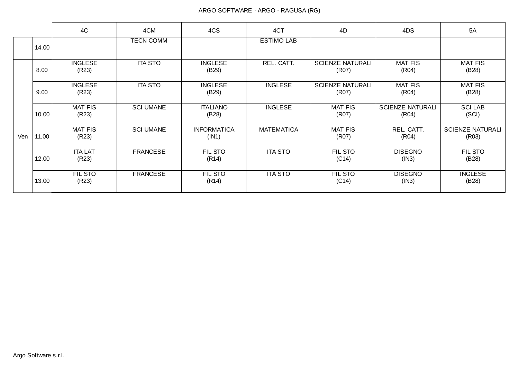|     |       | 4C                      | 4CM              | 4CS                         | 4CT               | 4D                               | 4DS                              | 5A                               |
|-----|-------|-------------------------|------------------|-----------------------------|-------------------|----------------------------------|----------------------------------|----------------------------------|
|     | 14.00 |                         | <b>TECN COMM</b> |                             | <b>ESTIMO LAB</b> |                                  |                                  |                                  |
|     | 8.00  | <b>INGLESE</b><br>(R23) | <b>ITA STO</b>   | <b>INGLESE</b><br>(B29)     | REL. CATT.        | <b>SCIENZE NATURALI</b><br>(R07) | <b>MAT FIS</b><br>(R04)          | <b>MAT FIS</b><br>(B28)          |
|     | 9.00  | <b>INGLESE</b><br>(R23) | <b>ITA STO</b>   | <b>INGLESE</b><br>(B29)     | <b>INGLESE</b>    | <b>SCIENZE NATURALI</b><br>(R07) | <b>MAT FIS</b><br>(R04)          | <b>MAT FIS</b><br>(B28)          |
|     | 10.00 | <b>MAT FIS</b><br>(R23) | <b>SCI UMANE</b> | <b>ITALIANO</b><br>(B28)    | <b>INGLESE</b>    | <b>MAT FIS</b><br>(R07)          | <b>SCIENZE NATURALI</b><br>(R04) | <b>SCILAB</b><br>(SCI)           |
| Ven | 11.00 | <b>MAT FIS</b><br>(R23) | <b>SCI UMANE</b> | <b>INFORMATICA</b><br>(IN1) | <b>MATEMATICA</b> | <b>MAT FIS</b><br>(R07)          | REL. CATT.<br>(R04)              | <b>SCIENZE NATURALI</b><br>(R03) |
|     | 12.00 | <b>ITA LAT</b><br>(R23) | <b>FRANCESE</b>  | FIL STO<br>(R14)            | <b>ITA STO</b>    | <b>FIL STO</b><br>(C14)          | <b>DISEGNO</b><br>(IN3)          | FIL STO<br>(B28)                 |
|     | 13.00 | FIL STO<br>(R23)        | <b>FRANCESE</b>  | FIL STO<br>(R14)            | <b>ITA STO</b>    | FIL STO<br>(C14)                 | <b>DISEGNO</b><br>(IN3)          | <b>INGLESE</b><br>(B28)          |